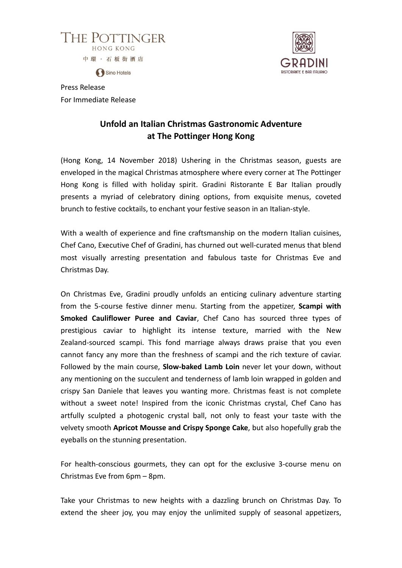



Sino Hotels

Press Release For Immediate Release

# **Unfold an Italian Christmas Gastronomic Adventure at The Pottinger Hong Kong**

(Hong Kong, 14 November 2018) Ushering in the Christmas season, guests are enveloped in the magical Christmas atmosphere where every corner at The Pottinger Hong Kong is filled with holiday spirit. Gradini Ristorante E Bar Italian proudly presents a myriad of celebratory dining options, from exquisite menus, coveted brunch to festive cocktails, to enchant your festive season in an Italian-style.

With a wealth of experience and fine craftsmanship on the modern Italian cuisines, Chef Cano, Executive Chef of Gradini, has churned out well-curated menus that blend most visually arresting presentation and fabulous taste for Christmas Eve and Christmas Day.

On Christmas Eve, Gradini proudly unfolds an enticing culinary adventure starting from the 5-course festive dinner menu. Starting from the appetizer, **Scampi with Smoked Cauliflower Puree and Caviar**, Chef Cano has sourced three types of prestigious caviar to highlight its intense texture, married with the New Zealand-sourced scampi. This fond marriage always draws praise that you even cannot fancy any more than the freshness of scampi and the rich texture of caviar. Followed by the main course, **Slow-baked Lamb Loin** never let your down, without any mentioning on the succulent and tenderness of lamb loin wrapped in golden and crispy San Daniele that leaves you wanting more. Christmas feast is not complete without a sweet note! Inspired from the iconic Christmas crystal, Chef Cano has artfully sculpted a photogenic crystal ball, not only to feast your taste with the velvety smooth **Apricot Mousse and Crispy Sponge Cake**, but also hopefully grab the eyeballs on the stunning presentation.

For health-conscious gourmets, they can opt for the exclusive 3-course menu on Christmas Eve from 6pm – 8pm.

Take your Christmas to new heights with a dazzling brunch on Christmas Day. To extend the sheer joy, you may enjoy the unlimited supply of seasonal appetizers,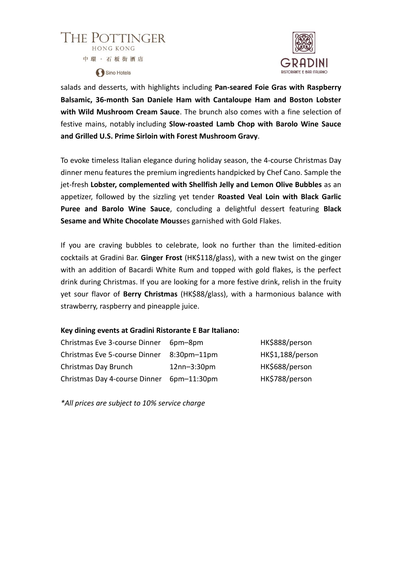



salads and desserts, with highlights including **Pan-seared Foie Gras with Raspberry Balsamic, 36-month San Daniele Ham with Cantaloupe Ham and Boston Lobster with Wild Mushroom Cream Sauce**. The brunch also comes with a fine selection of festive mains, notably including **Slow-roasted Lamb Chop with Barolo Wine Sauce and Grilled U.S. Prime Sirloin with Forest Mushroom Gravy**.

To evoke timeless Italian elegance during holiday season, the 4-course Christmas Day dinner menu features the premium ingredients handpicked by Chef Cano. Sample the jet-fresh **Lobster, complemented with Shellfish Jelly and Lemon Olive Bubbles** as an appetizer, followed by the sizzling yet tender **Roasted Veal Loin with Black Garlic Puree and Barolo Wine Sauce**, concluding a delightful dessert featuring **Black Sesame and White Chocolate Mouss**es garnished with Gold Flakes.

If you are craving bubbles to celebrate, look no further than the limited-edition cocktails at Gradini Bar. **Ginger Frost** (HK\$118/glass), with a new twist on the ginger with an addition of Bacardi White Rum and topped with gold flakes, is the perfect drink during Christmas. If you are looking for a more festive drink, relish in the fruity yet sour flavor of **Berry Christmas** (HK\$88/glass), with a harmonious balance with strawberry, raspberry and pineapple juice.

#### **Key dining events at Gradini Ristorante E Bar Italiano:**

| Christmas Eve 3-course Dinner | 6pm-8pm            | HK\$888/person   |
|-------------------------------|--------------------|------------------|
| Christmas Eve 5-course Dinner | $8:30$ pm $-11$ pm | HK\$1,188/person |
| Christmas Day Brunch          | $12nn - 3:30pm$    | HK\$688/person   |
| Christmas Day 4-course Dinner | $6pm-11:30pm$      | HK\$788/person   |

*\*All prices are subject to 10% service charge*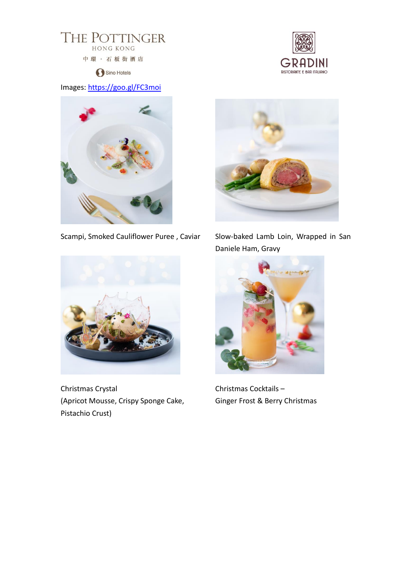

Sino Hotels

## Images:<https://goo.gl/FC3moi>





Scampi, Smoked Cauliflower Puree, Caviar Slow-baked Lamb Loin, Wrapped in San



Christmas Crystal (Apricot Mousse, Crispy Sponge Cake, Pistachio Crust)



Daniele Ham, Gravy



Christmas Cocktails – Ginger Frost & Berry Christmas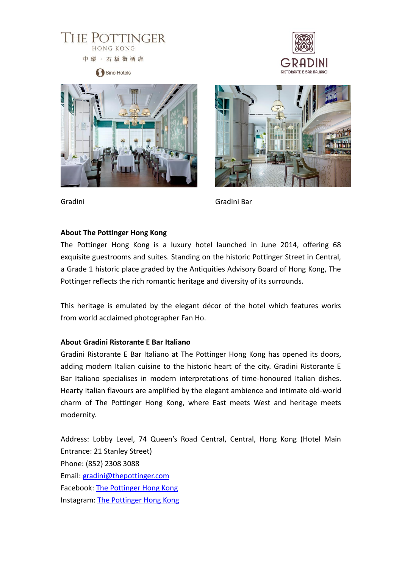

Sino Hotels







Gradini Gradini Bar

### **About The Pottinger Hong Kong**

The Pottinger Hong Kong is a luxury hotel launched in June 2014, offering 68 exquisite guestrooms and suites. Standing on the historic Pottinger Street in Central, a Grade 1 historic place graded by the Antiquities Advisory Board of Hong Kong, The Pottinger reflects the rich romantic heritage and diversity of its surrounds.

This heritage is emulated by the elegant décor of the hotel which features works from world acclaimed photographer Fan Ho.

#### **About Gradini Ristorante E Bar Italiano**

Gradini Ristorante E Bar Italiano at The Pottinger Hong Kong has opened its doors, adding modern Italian cuisine to the historic heart of the city. Gradini Ristorante E Bar Italiano specialises in modern interpretations of time-honoured Italian dishes. Hearty Italian flavours are amplified by the elegant ambience and intimate old-world charm of The Pottinger Hong Kong, where East meets West and heritage meets modernity.

Address: Lobby Level, 74 Queen's Road Central, Central, Hong Kong (Hotel Main Entrance: 21 Stanley Street) Phone: (852) 2308 3088 Email: [gradini@thepottinger.com](mailto:gradini@thepottinger.com) Facebook: [The Pottinger Hong Kong](https://www.facebook.com/thepottingerhongkong/) Instagram: [The Pottinger Hong Kong](https://www.instagram.com/thepottingerhongkong/)